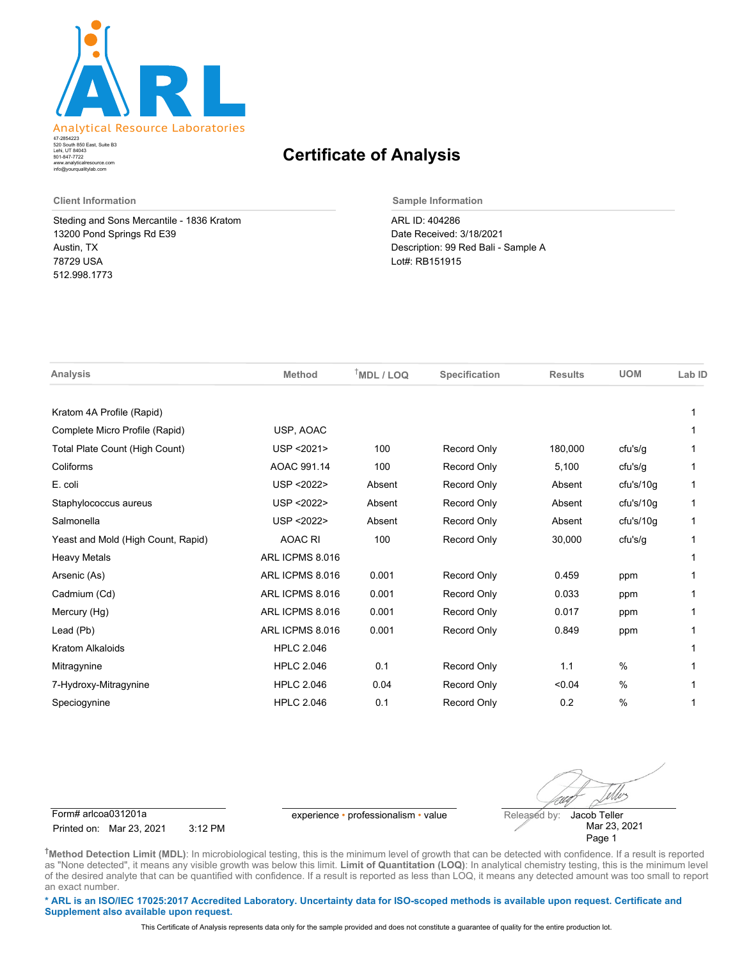

520 South 850 East, Suite B3 Lehi, UT 84043 47-2854223 801-847-7722 www.analyticalresource.com info@yourqualitylab.com

## **Certificate of Analysis**

Steding and Sons Mercantile - 1836 Kratom 13200 Pond Springs Rd E39 Austin, TX 78729 USA 512.998.1773

**Client Information Sample Information**

ARL ID: 404286 Date Received: 3/18/2021 Description: 99 Red Bali - Sample A Lot#: RB151915

| <b>Analysis</b>                    | <b>Method</b>     | $†MDL / LOQ$ | Specification      | <b>Results</b> | <b>UOM</b>    | Lab ID |
|------------------------------------|-------------------|--------------|--------------------|----------------|---------------|--------|
| Kratom 4A Profile (Rapid)          |                   |              |                    |                |               |        |
| Complete Micro Profile (Rapid)     | USP, AOAC         |              |                    |                |               |        |
| Total Plate Count (High Count)     | USP <2021>        | 100          | <b>Record Only</b> | 180,000        | cfu's/g       |        |
| Coliforms                          | AOAC 991.14       | 100          | <b>Record Only</b> | 5,100          | cfu's/g       | 1      |
| E. coli                            | USP <2022>        | Absent       | <b>Record Only</b> | Absent         | cfu's/10g     | 1      |
| Staphylococcus aureus              | USP <2022>        | Absent       | <b>Record Only</b> | Absent         | cfu's/10q     | 1      |
| Salmonella                         | USP < 2022>       | Absent       | <b>Record Only</b> | Absent         | cfu's/10q     | 1      |
| Yeast and Mold (High Count, Rapid) | <b>AOAC RI</b>    | 100          | <b>Record Only</b> | 30,000         | cfu's/g       |        |
| <b>Heavy Metals</b>                | ARL ICPMS 8.016   |              |                    |                |               |        |
| Arsenic (As)                       | ARL ICPMS 8.016   | 0.001        | <b>Record Only</b> | 0.459          | ppm           |        |
| Cadmium (Cd)                       | ARL ICPMS 8.016   | 0.001        | <b>Record Only</b> | 0.033          | ppm           |        |
| Mercury (Hg)                       | ARL ICPMS 8.016   | 0.001        | <b>Record Only</b> | 0.017          | ppm           |        |
| Lead (Pb)                          | ARL ICPMS 8.016   | 0.001        | <b>Record Only</b> | 0.849          | ppm           |        |
| Kratom Alkaloids                   | <b>HPLC 2.046</b> |              |                    |                |               |        |
| Mitragynine                        | <b>HPLC 2.046</b> | 0.1          | <b>Record Only</b> | 1.1            | $\%$          |        |
| 7-Hydroxy-Mitragynine              | <b>HPLC 2.046</b> | 0.04         | <b>Record Only</b> | < 0.04         | $\frac{0}{0}$ |        |
| Speciogynine                       | <b>HPLC 2.046</b> | 0.1          | <b>Record Only</b> | 0.2            | $\%$          |        |

Form# arlcoa031201a experience • professionalism • value Released by:

Printed on: Mar 23, 2021 3:12 PM

Uv Jacob Teller

Mar 23, 2021 Page 1

**†Method Detection Limit (MDL)**: In microbiological testing, this is the minimum level of growth that can be detected with confidence. If a result is reported as "None detected", it means any visible growth was below this limit. **Limit of Quantitation (LOQ)**: In analytical chemistry testing, this is the minimum level of the desired analyte that can be quantified with confidence. If a result is reported as less than LOQ, it means any detected amount was too small to report an exact number.

**\* ARL is an ISO/IEC 17025:2017 Accredited Laboratory. Uncertainty data for ISO-scoped methods is available upon request. Certificate and Supplement also available upon request.**